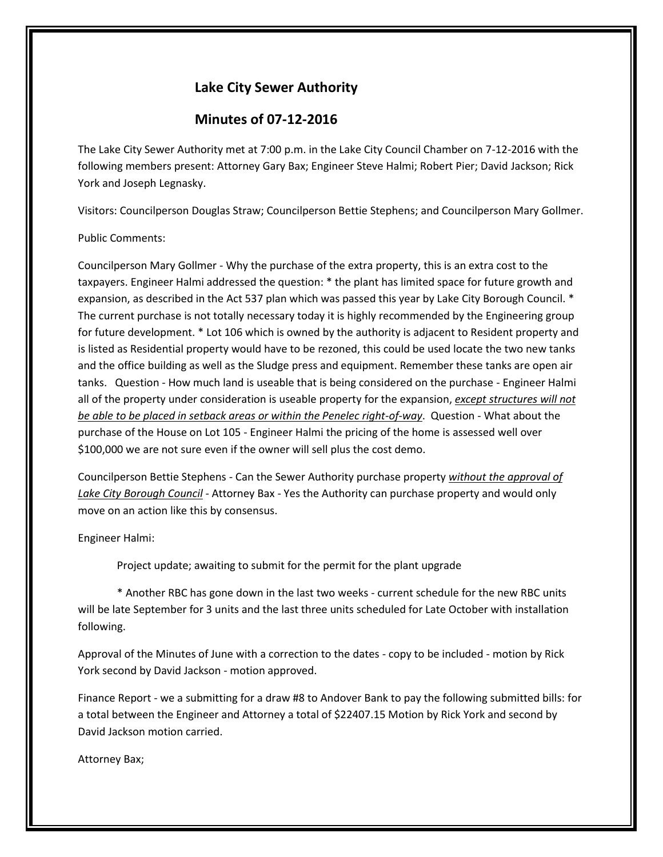## **Lake City Sewer Authority**

## **Minutes of 07-12-2016**

The Lake City Sewer Authority met at 7:00 p.m. in the Lake City Council Chamber on 7-12-2016 with the following members present: Attorney Gary Bax; Engineer Steve Halmi; Robert Pier; David Jackson; Rick York and Joseph Legnasky.

Visitors: Councilperson Douglas Straw; Councilperson Bettie Stephens; and Councilperson Mary Gollmer.

## Public Comments:

Councilperson Mary Gollmer - Why the purchase of the extra property, this is an extra cost to the taxpayers. Engineer Halmi addressed the question: \* the plant has limited space for future growth and expansion, as described in the Act 537 plan which was passed this year by Lake City Borough Council. \* The current purchase is not totally necessary today it is highly recommended by the Engineering group for future development. \* Lot 106 which is owned by the authority is adjacent to Resident property and is listed as Residential property would have to be rezoned, this could be used locate the two new tanks and the office building as well as the Sludge press and equipment. Remember these tanks are open air tanks. Question - How much land is useable that is being considered on the purchase - Engineer Halmi all of the property under consideration is useable property for the expansion, *except structures will not be able to be placed in setback areas or within the Penelec right-of-way*. Question - What about the purchase of the House on Lot 105 - Engineer Halmi the pricing of the home is assessed well over \$100,000 we are not sure even if the owner will sell plus the cost demo.

Councilperson Bettie Stephens - Can the Sewer Authority purchase property *without the approval of Lake City Borough Council* - Attorney Bax - Yes the Authority can purchase property and would only move on an action like this by consensus.

Engineer Halmi:

Project update; awaiting to submit for the permit for the plant upgrade

\* Another RBC has gone down in the last two weeks - current schedule for the new RBC units will be late September for 3 units and the last three units scheduled for Late October with installation following.

Approval of the Minutes of June with a correction to the dates - copy to be included - motion by Rick York second by David Jackson - motion approved.

Finance Report - we a submitting for a draw #8 to Andover Bank to pay the following submitted bills: for a total between the Engineer and Attorney a total of \$22407.15 Motion by Rick York and second by David Jackson motion carried.

Attorney Bax;